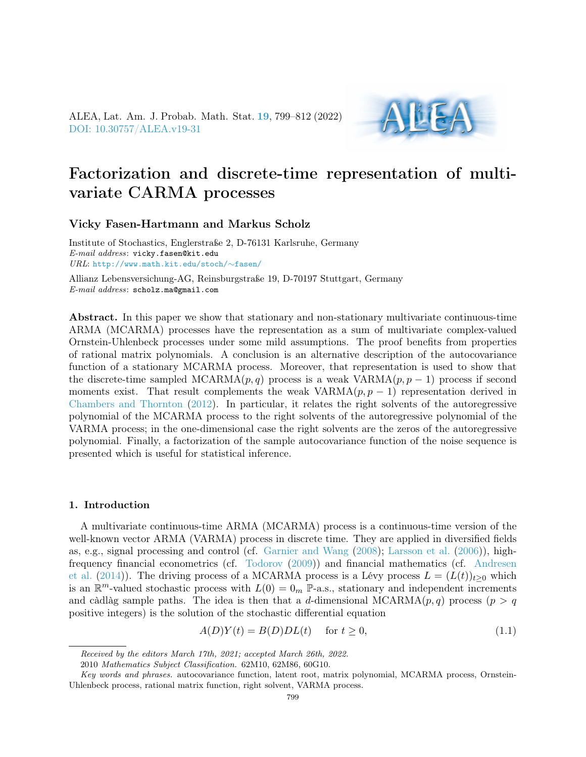ALEA, Lat. Am. J. Probab. Math. Stat. [19](http://alea.impa.br/english/index_v19.htm), 799–812 (2022) [DOI: 10.30757/ALEA.v19-31](https://doi.org/10.30757/ALEA.v19-31)



# Factorization and discrete-time representation of multivariate CARMA processes

## Vicky Fasen-Hartmann and Markus Scholz

Institute of Stochastics, Englerstraße 2, D-76131 Karlsruhe, Germany E-mail address: vicky.fasen@kit.edu URL: [http://www.math.kit.edu/stoch/](http://www.math.kit.edu/stoch/~fasen/)∼fasen/

Allianz Lebensversichung-AG, Reinsburgstraße 19, D-70197 Stuttgart, Germany E-mail address: scholz.ma@gmail.com

Abstract. In this paper we show that stationary and non-stationary multivariate continuous-time ARMA (MCARMA) processes have the representation as a sum of multivariate complex-valued Ornstein-Uhlenbeck processes under some mild assumptions. The proof benefits from properties of rational matrix polynomials. A conclusion is an alternative description of the autocovariance function of a stationary MCARMA process. Moreover, that representation is used to show that the discrete-time sampled  $MCARMA(p, q)$  process is a weak  $VARMA(p, p - 1)$  process if second moments exist. That result complements the weak  $VARMA(p, p - 1)$  representation derived in [Chambers and Thornton](#page-12-0) [\(2012\)](#page-12-0). In particular, it relates the right solvents of the autoregressive polynomial of the MCARMA process to the right solvents of the autoregressive polynomial of the VARMA process; in the one-dimensional case the right solvents are the zeros of the autoregressive polynomial. Finally, a factorization of the sample autocovariance function of the noise sequence is presented which is useful for statistical inference.

## 1. Introduction

A multivariate continuous-time ARMA (MCARMA) process is a continuous-time version of the well-known vector ARMA (VARMA) process in discrete time. They are applied in diversified fields as, e.g., signal processing and control (cf. [Garnier and Wang](#page-12-1) [\(2008\)](#page-12-1); [Larsson et al.](#page-12-2) [\(2006\)](#page-12-2)), highfrequency financial econometrics (cf. [Todorov](#page-13-0) [\(2009\)](#page-13-0)) and financial mathematics (cf. [Andresen](#page-12-3) [et al.](#page-12-3) [\(2014\)](#page-12-3)). The driving process of a MCARMA process is a Lévy process  $L = (L(t))_{t>0}$  which is an  $\mathbb{R}^m$ -valued stochastic process with  $L(0) = 0_m$  P-a.s., stationary and independent increments and càdlàg sample paths. The idea is then that a d-dimensional MCARMA $(p, q)$  process  $(p > q)$ positive integers) is the solution of the stochastic differential equation

<span id="page-0-0"></span> $A(D)Y(t) = B(D)DL(t)$  for  $t \ge 0$ , (1.1)

Received by the editors March 17th, 2021; accepted March 26th, 2022.

<sup>2010</sup> Mathematics Subject Classification. 62M10, 62M86, 60G10.

Key words and phrases. autocovariance function, latent root, matrix polynomial, MCARMA process, Ornstein-Uhlenbeck process, rational matrix function, right solvent, VARMA process.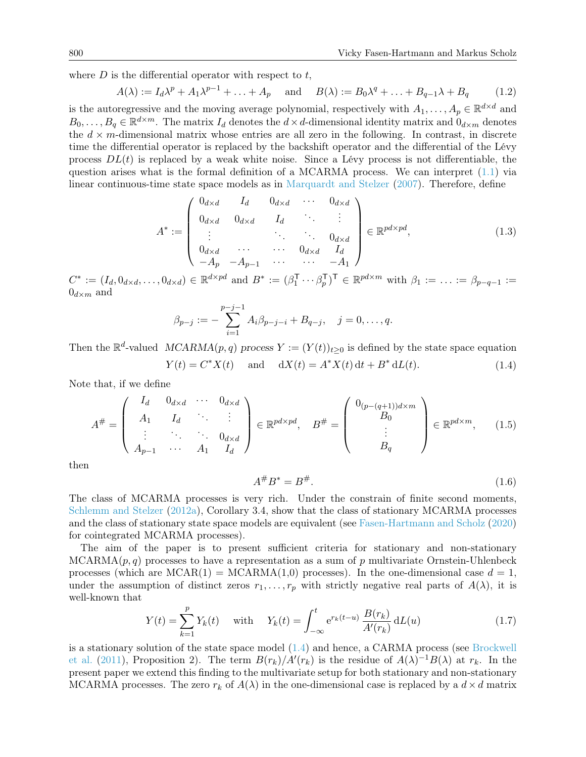where  $D$  is the differential operator with respect to  $t$ ,

<span id="page-1-3"></span>
$$
A(\lambda) := I_d \lambda^p + A_1 \lambda^{p-1} + \ldots + A_p \quad \text{and} \quad B(\lambda) := B_0 \lambda^q + \ldots + B_{q-1} \lambda + B_q \tag{1.2}
$$

is the autoregressive and the moving average polynomial, respectively with  $A_1, \ldots, A_p \in \mathbb{R}^{d \times d}$  and  $B_0, \ldots, B_q \in \mathbb{R}^{d \times m}$ . The matrix  $I_d$  denotes the  $d \times d$ -dimensional identity matrix and  $0_{d \times m}$  denotes the  $d \times m$ -dimensional matrix whose entries are all zero in the following. In contrast, in discrete time the differential operator is replaced by the backshift operator and the differential of the Lévy process  $DL(t)$  is replaced by a weak white noise. Since a Lévy process is not differentiable, the question arises what is the formal definition of a MCARMA process. We can interpret [\(1.1\)](#page-0-0) via linear continuous-time state space models as in [Marquardt and Stelzer](#page-12-4) [\(2007\)](#page-12-4). Therefore, define

<span id="page-1-4"></span>
$$
A^* := \begin{pmatrix} 0_{d \times d} & I_d & 0_{d \times d} & \cdots & 0_{d \times d} \\ 0_{d \times d} & 0_{d \times d} & I_d & \cdots & \vdots \\ \vdots & \vdots & \ddots & \vdots & 0_{d \times d} \\ 0_{d \times d} & \cdots & \cdots & 0_{d \times d} & I_d \\ -A_p & -A_{p-1} & \cdots & \cdots & -A_1 \end{pmatrix} \in \mathbb{R}^{pd \times pd},
$$
(1.3)

 $C^* := (I_d, 0_{d \times d}, \ldots, 0_{d \times d}) \in \mathbb{R}^{d \times pd}$  and  $B^* := (\beta_1^{\mathsf{T}} \cdots \beta_p^{\mathsf{T}})^{\mathsf{T}} \in \mathbb{R}^{pd \times m}$  with  $\beta_1 := \ldots := \beta_{p-q-1} :=$  $0_{d \times m}$  and

$$
\beta_{p-j} := -\sum_{i=1}^{p-j-1} A_i \beta_{p-j-i} + B_{q-j}, \quad j=0,\ldots,q.
$$

<span id="page-1-0"></span>Then the  $\mathbb{R}^d$ -valued  $MCARMA(p, q)$  process  $Y := (Y(t))_{t \geq 0}$  is defined by the state space equation  $Y(t) = C^*X(t)$  and  $dX(t) = A^*X(t) dt + B^*dL(t)$ . (1.4)

Note that, if we define

<span id="page-1-2"></span>
$$
A^{\#} = \left(\begin{array}{cccc} I_d & 0_{d \times d} & \cdots & 0_{d \times d} \\ A_1 & I_d & \ddots & \vdots \\ \vdots & \ddots & \ddots & 0_{d \times d} \\ A_{p-1} & \cdots & A_1 & I_d \end{array}\right) \in \mathbb{R}^{pd \times pd}, \quad B^{\#} = \left(\begin{array}{c} 0_{(p-(q+1))d \times m} \\ B_0 \\ \vdots \\ B_q \end{array}\right) \in \mathbb{R}^{pd \times m}, \quad (1.5)
$$

then

<span id="page-1-5"></span>
$$
A^{\#}B^* = B^{\#}.
$$
\n(1.6)

The class of MCARMA processes is very rich. Under the constrain of finite second moments, [Schlemm and Stelzer](#page-12-5) [\(2012a\)](#page-12-5), Corollary 3.4, show that the class of stationary MCARMA processes and the class of stationary state space models are equivalent (see [Fasen-Hartmann and Scholz](#page-12-6) [\(2020\)](#page-12-6) for cointegrated MCARMA processes).

The aim of the paper is to present sufficient criteria for stationary and non-stationary  $MCARMA(p, q)$  processes to have a representation as a sum of p multivariate Ornstein-Uhlenbeck processes (which are  $MCAR(1) = MCARMA(1,0)$  processes). In the one-dimensional case  $d = 1$ , under the assumption of distinct zeros  $r_1, \ldots, r_p$  with strictly negative real parts of  $A(\lambda)$ , it is well-known that

<span id="page-1-1"></span>
$$
Y(t) = \sum_{k=1}^{p} Y_k(t) \quad \text{with} \quad Y_k(t) = \int_{-\infty}^{t} e^{r_k(t-u)} \frac{B(r_k)}{A'(r_k)} dL(u) \tag{1.7}
$$

is a stationary solution of the state space model  $(1.4)$  and hence, a CARMA process (see [Brockwell](#page-12-7) [et al.](#page-12-7) [\(2011\)](#page-12-7), Proposition 2). The term  $B(r_k)/A'(r_k)$  is the residue of  $A(\lambda)^{-1}B(\lambda)$  at  $r_k$ . In the present paper we extend this finding to the multivariate setup for both stationary and non-stationary MCARMA processes. The zero  $r_k$  of  $A(\lambda)$  in the one-dimensional case is replaced by a  $d \times d$  matrix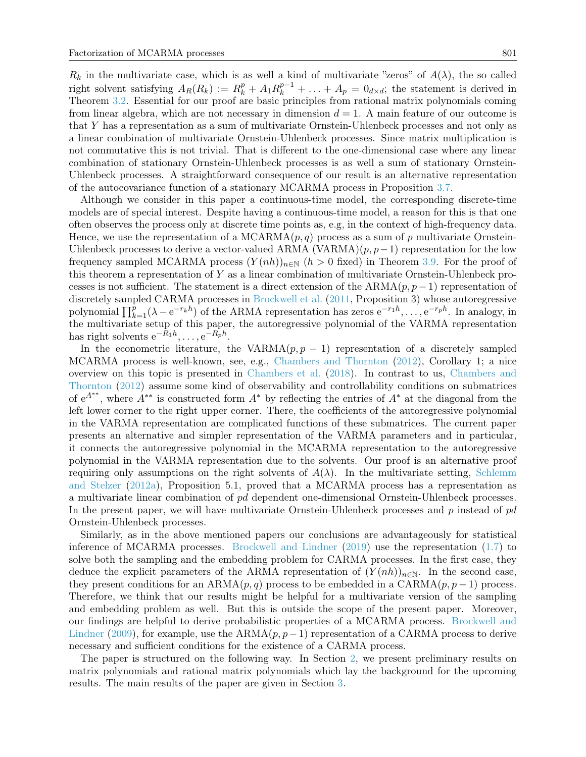$R_k$  in the multivariate case, which is as well a kind of multivariate "zeros" of  $A(\lambda)$ , the so called right solvent satisfying  $A_R(R_k) := R_k^p + A_1 R_k^{p-1} + \ldots + A_p = 0_{d \times d}$ ; the statement is derived in Theorem [3.2.](#page-6-0) Essential for our proof are basic principles from rational matrix polynomials coming from linear algebra, which are not necessary in dimension  $d = 1$ . A main feature of our outcome is that Y has a representation as a sum of multivariate Ornstein-Uhlenbeck processes and not only as a linear combination of multivariate Ornstein-Uhlenbeck processes. Since matrix multiplication is not commutative this is not trivial. That is different to the one-dimensional case where any linear combination of stationary Ornstein-Uhlenbeck processes is as well a sum of stationary Ornstein-Uhlenbeck processes. A straightforward consequence of our result is an alternative representation of the autocovariance function of a stationary MCARMA process in Proposition [3.7.](#page-8-0)

Although we consider in this paper a continuous-time model, the corresponding discrete-time models are of special interest. Despite having a continuous-time model, a reason for this is that one often observes the process only at discrete time points as, e.g, in the context of high-frequency data. Hence, we use the representation of a  $MCARMA(p, q)$  process as a sum of p multivariate Ornstein-Uhlenbeck processes to derive a vector-valued ARMA (VARMA) $(p, p-1)$  representation for the low frequency sampled MCARMA process  $(Y(nh))_{n\in\mathbb{N}}$   $(h>0$  fixed) in Theorem [3.9.](#page-9-0) For the proof of this theorem a representation of Y as a linear combination of multivariate Ornstein-Uhlenbeck processes is not sufficient. The statement is a direct extension of the  $ARMA(p, p - 1)$  representation of discretely sampled CARMA processes in [Brockwell et al.](#page-12-7) [\(2011,](#page-12-7) Proposition 3) whose autoregressive polynomial  $\prod_{k=1}^{p} (\lambda - e^{-r_k h})$  of the ARMA representation has zeros  $e^{-r_1 h}, \ldots, e^{-r_p h}$ . In analogy, in the multivariate setup of this paper, the autoregressive polynomial of the VARMA representation has right solvents  $e^{-R_1h}, \ldots, e^{-R_ph}$ .

In the econometric literature, the VARMA $(p, p - 1)$  representation of a discretely sampled MCARMA process is well-known, see, e.g., [Chambers and Thornton](#page-12-0) [\(2012\)](#page-12-0), Corollary 1; a nice overview on this topic is presented in [Chambers et al.](#page-12-8) [\(2018\)](#page-12-8). In contrast to us, [Chambers and](#page-12-0) [Thornton](#page-12-0) [\(2012\)](#page-12-0) assume some kind of observability and controllability conditions on submatrices of  $e^{A^{**}}$ , where  $A^{**}$  is constructed form  $A^*$  by reflecting the entries of  $A^*$  at the diagonal from the left lower corner to the right upper corner. There, the coefficients of the autoregressive polynomial in the VARMA representation are complicated functions of these submatrices. The current paper presents an alternative and simpler representation of the VARMA parameters and in particular, it connects the autoregressive polynomial in the MCARMA representation to the autoregressive polynomial in the VARMA representation due to the solvents. Our proof is an alternative proof requiring only assumptions on the right solvents of  $A(\lambda)$ . In the multivariate setting, [Schlemm](#page-12-5) [and Stelzer](#page-12-5) [\(2012a\)](#page-12-5), Proposition 5.1, proved that a MCARMA process has a representation as a multivariate linear combination of pd dependent one-dimensional Ornstein-Uhlenbeck processes. In the present paper, we will have multivariate Ornstein-Uhlenbeck processes and  $p$  instead of  $pd$ Ornstein-Uhlenbeck processes.

Similarly, as in the above mentioned papers our conclusions are advantageously for statistical inference of MCARMA processes. [Brockwell and Lindner](#page-12-9) [\(2019\)](#page-12-9) use the representation [\(1.7\)](#page-1-1) to solve both the sampling and the embedding problem for CARMA processes. In the first case, they deduce the explicit parameters of the ARMA representation of  $(Y(nh))_{n\in\mathbb{N}}$ . In the second case, they present conditions for an  $ARMA(p, q)$  process to be embedded in a  $CARMA(p, p - 1)$  process. Therefore, we think that our results might be helpful for a multivariate version of the sampling and embedding problem as well. But this is outside the scope of the present paper. Moreover, our findings are helpful to derive probabilistic properties of a MCARMA process. [Brockwell and](#page-12-10) [Lindner](#page-12-10) [\(2009\)](#page-12-10), for example, use the ARMA $(p, p-1)$  representation of a CARMA process to derive necessary and sufficient conditions for the existence of a CARMA process.

The paper is structured on the following way. In Section [2,](#page-3-0) we present preliminary results on matrix polynomials and rational matrix polynomials which lay the background for the upcoming results. The main results of the paper are given in Section [3.](#page-5-0)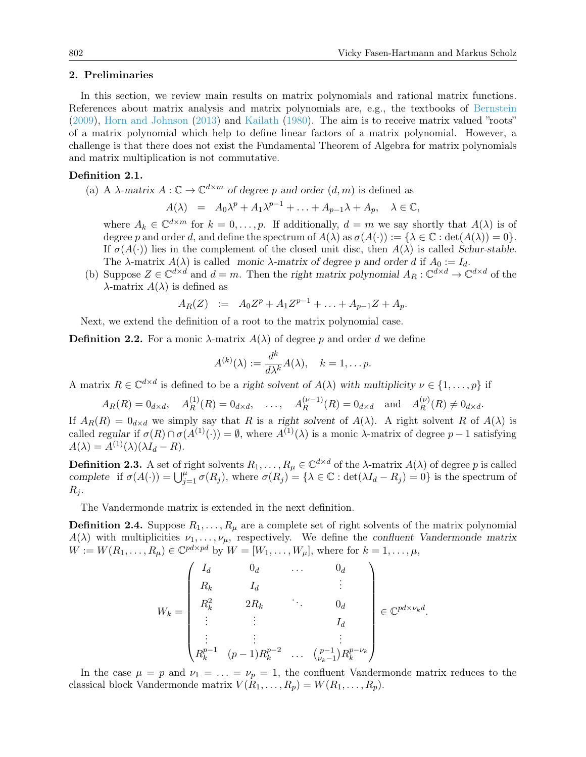.

#### <span id="page-3-0"></span>2. Preliminaries

In this section, we review main results on matrix polynomials and rational matrix functions. References about matrix analysis and matrix polynomials are, e.g., the textbooks of [Bernstein](#page-12-11) [\(2009\)](#page-12-11), [Horn and Johnson](#page-12-12) [\(2013\)](#page-12-12) and [Kailath](#page-12-13) [\(1980\)](#page-12-13). The aim is to receive matrix valued "roots" of a matrix polynomial which help to define linear factors of a matrix polynomial. However, a challenge is that there does not exist the Fundamental Theorem of Algebra for matrix polynomials and matrix multiplication is not commutative.

### Definition 2.1.

(a) A  $\lambda$ -matrix  $A: \mathbb{C} \to \mathbb{C}^{d \times m}$  of degree p and order  $(d, m)$  is defined as

$$
A(\lambda) = A_0 \lambda^p + A_1 \lambda^{p-1} + \ldots + A_{p-1} \lambda + A_p, \quad \lambda \in \mathbb{C},
$$

where  $A_k \in \mathbb{C}^{d \times m}$  for  $k = 0, \ldots, p$ . If additionally,  $d = m$  we say shortly that  $A(\lambda)$  is of degree p and order d, and define the spectrum of  $A(\lambda)$  as  $\sigma(A(\cdot)) := {\lambda \in \mathbb{C} : \det(A(\lambda)) = 0}.$ If  $\sigma(A(\cdot))$  lies in the complement of the closed unit disc, then  $A(\lambda)$  is called Schur-stable. The  $\lambda$ -matrix  $A(\lambda)$  is called monic  $\lambda$ -matrix of degree p and order d if  $A_0 := I_d$ .

(b) Suppose  $Z \in \mathbb{C}^{d \times d}$  and  $d = m$ . Then the right matrix polynomial  $A_R : \mathbb{C}^{d \times d} \to \mathbb{C}^{d \times d}$  of the  $\lambda$ -matrix  $A(\lambda)$  is defined as

$$
A_R(Z) := A_0 Z^p + A_1 Z^{p-1} + \ldots + A_{p-1} Z + A_p.
$$

Next, we extend the definition of a root to the matrix polynomial case.

**Definition 2.2.** For a monic  $\lambda$ -matrix  $A(\lambda)$  of degree p and order d we define

$$
A^{(k)}(\lambda) := \frac{d^k}{d\lambda^k} A(\lambda), \quad k = 1, \dots p.
$$

A matrix  $R \in \mathbb{C}^{d \times d}$  is defined to be a right solvent of  $A(\lambda)$  with multiplicity  $\nu \in \{1, \ldots, p\}$  if

$$
A_R(R) = 0_{d \times d}
$$
,  $A_R^{(1)}(R) = 0_{d \times d}$ , ...,  $A_R^{(\nu-1)}(R) = 0_{d \times d}$  and  $A_R^{(\nu)}(R) \neq 0_{d \times d}$ .

If  $A_R(R) = 0_{d \times d}$  we simply say that R is a right solvent of  $A(\lambda)$ . A right solvent R of  $A(\lambda)$  is called regular if  $\sigma(R) \cap \sigma(A^{(1)}(\cdot)) = \emptyset$ , where  $A^{(1)}(\lambda)$  is a monic  $\lambda$ -matrix of degree  $p-1$  satisfying  $A(\lambda) = A^{(1)}(\lambda)(\lambda I_d - R).$ 

**Definition 2.3.** A set of right solvents  $R_1, \ldots, R_\mu \in \mathbb{C}^{d \times d}$  of the  $\lambda$ -matrix  $A(\lambda)$  of degree p is called complete if  $\sigma(A(\cdot)) = \bigcup_{j=1}^{\mu} \sigma(R_j)$ , where  $\sigma(R_j) = {\lambda \in \mathbb{C} : \det(\lambda I_d - R_j) = 0}$  is the spectrum of  $R_i$ .

The Vandermonde matrix is extended in the next definition.

**Definition 2.4.** Suppose  $R_1, \ldots, R_\mu$  are a complete set of right solvents of the matrix polynomial  $A(\lambda)$  with multiplicities  $\nu_1, \ldots, \nu_\mu$ , respectively. We define the confluent Vandermonde matrix  $W := W(R_1, \ldots, R_\mu) \in \mathbb{C}^{pd \times pd}$  by  $W = [W_1, \ldots, W_\mu]$ , where for  $k = 1, \ldots, \mu$ ,

$$
W_k = \begin{pmatrix} I_d & 0_d & \dots & 0_d \\ R_k & I_d & & \vdots \\ R_k^2 & 2R_k & & 0_d \\ \vdots & \vdots & & I_d \\ R_k^{p-1} & (p-1)R_k^{p-2} & \dots & \binom{p-1}{\nu_k-1}R_k^{p-\nu_k} \end{pmatrix} \in \mathbb{C}^{pd \times \nu_k d}
$$

<span id="page-3-1"></span>In the case  $\mu = p$  and  $\nu_1 = \ldots = \nu_p = 1$ , the confluent Vandermonde matrix reduces to the classical block Vandermonde matrix  $V(R_1, \ldots, R_p) = W(R_1, \ldots, R_p)$ .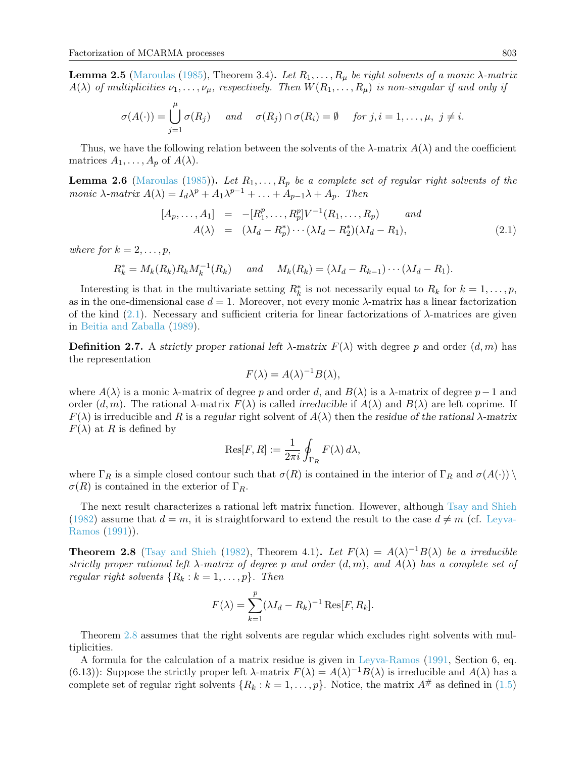**Lemma 2.5** [\(Maroulas](#page-12-14) [\(1985\)](#page-12-14), Theorem 3.4). Let  $R_1, \ldots, R_{\mu}$  be right solvents of a monic  $\lambda$ -matrix  $A(\lambda)$  of multiplicities  $\nu_1, \ldots, \nu_\mu$ , respectively. Then  $W(R_1, \ldots, R_\mu)$  is non-singular if and only if

$$
\sigma(A(\cdot)) = \bigcup_{j=1}^{\mu} \sigma(R_j) \quad \text{and} \quad \sigma(R_j) \cap \sigma(R_i) = \emptyset \quad \text{for } j, i = 1, \dots, \mu, \ j \neq i.
$$

Thus, we have the following relation between the solvents of the  $\lambda$ -matrix  $A(\lambda)$  and the coefficient matrices  $A_1, \ldots, A_p$  of  $A(\lambda)$ .

<span id="page-4-2"></span>**Lemma 2.6** [\(Maroulas](#page-12-14) [\(1985\)](#page-12-14)). Let  $R_1, \ldots, R_p$  be a complete set of regular right solvents of the monic  $\lambda$ -matrix  $A(\lambda) = I_d \lambda^p + A_1 \lambda^{p-1} + \ldots + A_{p-1} \lambda + A_p$ . Then

<span id="page-4-0"></span>
$$
[A_p, \dots, A_1] = -[R_1^p, \dots, R_p^p] V^{-1}(R_1, \dots, R_p) \quad and A(\lambda) = (\lambda I_d - R_p^*) \cdots (\lambda I_d - R_2^*)(\lambda I_d - R_1),
$$
 (2.1)

where for  $k = 2, \ldots, p$ ,

$$
R_k^* = M_k(R_k)R_kM_k^{-1}(R_k) \quad \text{and} \quad M_k(R_k) = (\lambda I_d - R_{k-1})\cdots(\lambda I_d - R_1).
$$

Interesting is that in the multivariate setting  $R_k^*$  is not necessarily equal to  $R_k$  for  $k = 1, \ldots, p$ , as in the one-dimensional case  $d = 1$ . Moreover, not every monic  $\lambda$ -matrix has a linear factorization of the kind  $(2.1)$ . Necessary and sufficient criteria for linear factorizations of  $\lambda$ -matrices are given in [Beitia and Zaballa](#page-12-15) [\(1989\)](#page-12-15).

**Definition 2.7.** A strictly proper rational left  $\lambda$ -matrix  $F(\lambda)$  with degree p and order  $(d, m)$  has the representation

$$
F(\lambda) = A(\lambda)^{-1} B(\lambda),
$$

where  $A(\lambda)$  is a monic  $\lambda$ -matrix of degree p and order d, and  $B(\lambda)$  is a  $\lambda$ -matrix of degree p – 1 and order  $(d, m)$ . The rational  $\lambda$ -matrix  $F(\lambda)$  is called *irreducible* if  $A(\lambda)$  and  $B(\lambda)$  are left coprime. If  $F(\lambda)$  is irreducible and R is a regular right solvent of  $A(\lambda)$  then the residue of the rational  $\lambda$ -matrix  $F(\lambda)$  at R is defined by

$$
\text{Res}[F,R] := \frac{1}{2\pi i} \oint_{\Gamma_R} F(\lambda) d\lambda,
$$

where  $\Gamma_R$  is a simple closed contour such that  $\sigma(R)$  is contained in the interior of  $\Gamma_R$  and  $\sigma(A(\cdot)) \setminus$  $\sigma(R)$  is contained in the exterior of  $\Gamma_R$ .

The next result characterizes a rational left matrix function. However, although [Tsay and Shieh](#page-13-1) [\(1982\)](#page-13-1) assume that  $d = m$ , it is straightforward to extend the result to the case  $d \neq m$  (cf. [Leyva-](#page-12-16)[Ramos](#page-12-16) [\(1991\)](#page-12-16)).

<span id="page-4-1"></span>**Theorem 2.8** [\(Tsay and Shieh](#page-13-1) [\(1982\)](#page-13-1), Theorem 4.1). Let  $F(\lambda) = A(\lambda)^{-1}B(\lambda)$  be a irreducible strictly proper rational left  $\lambda$ -matrix of degree p and order  $(d, m)$ , and  $A(\lambda)$  has a complete set of regular right solvents  $\{R_k : k = 1, \ldots, p\}$ . Then

$$
F(\lambda) = \sum_{k=1}^{p} (\lambda I_d - R_k)^{-1} \operatorname{Res}[F, R_k].
$$

Theorem [2.8](#page-4-1) assumes that the right solvents are regular which excludes right solvents with multiplicities.

A formula for the calculation of a matrix residue is given in [Leyva-Ramos](#page-12-16) [\(1991,](#page-12-16) Section 6, eq. (6.13)): Suppose the strictly proper left  $\lambda$ -matrix  $F(\lambda) = A(\lambda)^{-1}B(\lambda)$  is irreducible and  $A(\lambda)$  has a complete set of regular right solvents  $\{R_k : k = 1, \ldots, p\}$ . Notice, the matrix  $A^{\#}$  as defined in [\(1.5\)](#page-1-2)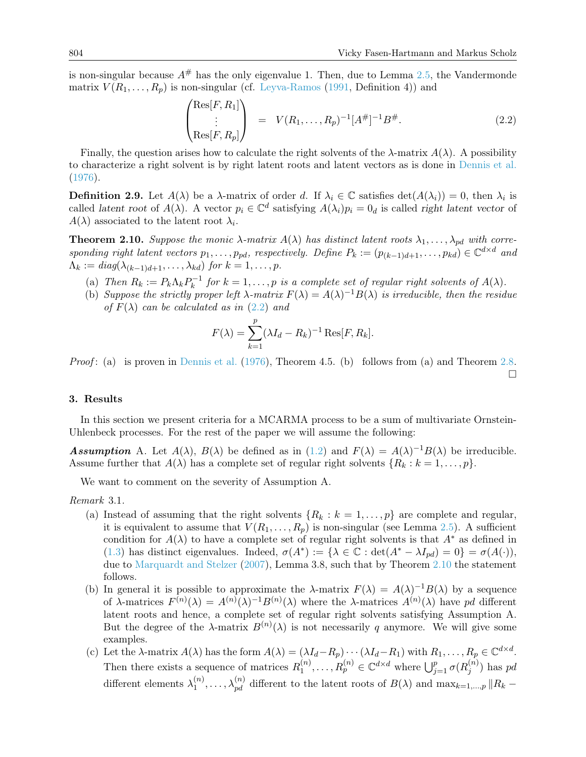is non-singular because  $A^{\#}$  has the only eigenvalue 1. Then, due to Lemma [2.5,](#page-3-1) the Vandermonde matrix  $V(R_1, \ldots, R_p)$  is non-singular (cf. [Leyva-Ramos](#page-12-16) [\(1991,](#page-12-16) Definition 4)) and

<span id="page-5-1"></span>
$$
\begin{pmatrix} \text{Res}[F, R_1] \\ \vdots \\ \text{Res}[F, R_p] \end{pmatrix} = V(R_1, \dots, R_p)^{-1} [A^{\#}]^{-1} B^{\#}.
$$
 (2.2)

Finally, the question arises how to calculate the right solvents of the  $\lambda$ -matrix  $A(\lambda)$ . A possibility to characterize a right solvent is by right latent roots and latent vectors as is done in [Dennis et al.](#page-12-17) [\(1976\)](#page-12-17).

**Definition 2.9.** Let  $A(\lambda)$  be a  $\lambda$ -matrix of order d. If  $\lambda_i \in \mathbb{C}$  satisfies  $\det(A(\lambda_i)) = 0$ , then  $\lambda_i$  is called latent root of  $A(\lambda)$ . A vector  $p_i \in \mathbb{C}^d$  satisfying  $A(\lambda_i)p_i = 0_d$  is called right latent vector of  $A(\lambda)$  associated to the latent root  $\lambda_i$ .

<span id="page-5-2"></span>**Theorem 2.10.** Suppose the monic  $\lambda$ -matrix  $A(\lambda)$  has distinct latent roots  $\lambda_1, \ldots, \lambda_{pd}$  with corresponding right latent vectors  $p_1, \ldots, p_{pd}$ , respectively. Define  $P_k := (p_{(k-1)d+1}, \ldots, p_{kd}) \in \mathbb{C}^{d \times d}$  and  $\Lambda_k := diag(\lambda_{(k-1)d+1}, \ldots, \lambda_{kd})$  for  $k = 1, \ldots, p$ .

- (a) Then  $R_k := P_k \Lambda_k P_k^{-1}$  $k_k^{-1}$  for  $k = 1, \ldots, p$  is a complete set of regular right solvents of  $A(\lambda)$ .
- (b) Suppose the strictly proper left  $\lambda$ -matrix  $F(\lambda) = A(\lambda)^{-1}B(\lambda)$  is irreducible, then the residue of  $F(\lambda)$  can be calculated as in  $(2.2)$  and

$$
F(\lambda) = \sum_{k=1}^{p} (\lambda I_d - R_k)^{-1} \operatorname{Res}[F, R_k].
$$

*Proof*: (a) is proven in [Dennis et al.](#page-12-17) [\(1976\)](#page-12-17), Theorem 4.5. (b) follows from (a) and Theorem [2.8.](#page-4-1)  $\Box$ 

## <span id="page-5-0"></span>3. Results

In this section we present criteria for a MCARMA process to be a sum of multivariate Ornstein-Uhlenbeck processes. For the rest of the paper we will assume the following:

<span id="page-5-3"></span>**Assumption** A. Let  $A(\lambda)$ ,  $B(\lambda)$  be defined as in [\(1.2\)](#page-1-3) and  $F(\lambda) = A(\lambda)^{-1}B(\lambda)$  be irreducible. Assume further that  $A(\lambda)$  has a complete set of regular right solvents  $\{R_k : k = 1, \ldots, p\}$ .

We want to comment on the severity of Assumption A.

Remark 3.1.

- (a) Instead of assuming that the right solvents  $\{R_k : k = 1, \ldots, p\}$  are complete and regular, it is equivalent to assume that  $V(R_1, \ldots, R_p)$  is non-singular (see Lemma [2.5\)](#page-3-1). A sufficient condition for  $A(\lambda)$  to have a complete set of regular right solvents is that  $A^*$  as defined in [\(1.3\)](#page-1-4) has distinct eigenvalues. Indeed,  $\sigma(A^*) := {\lambda \in \mathbb{C} : \det(A^* - \lambda I_{pd}) = 0} = \sigma(A(\cdot)),$ due to [Marquardt and Stelzer](#page-12-4) [\(2007\)](#page-12-4), Lemma 3.8, such that by Theorem [2.10](#page-5-2) the statement follows.
- (b) In general it is possible to approximate the  $\lambda$ -matrix  $F(\lambda) = A(\lambda)^{-1}B(\lambda)$  by a sequence of  $\lambda$ -matrices  $F^{(n)}(\lambda) = A^{(n)}(\lambda)^{-1}B^{(n)}(\lambda)$  where the  $\lambda$ -matrices  $A^{(n)}(\lambda)$  have pd different latent roots and hence, a complete set of regular right solvents satisfying Assumption A. But the degree of the  $\lambda$ -matrix  $B^{(n)}(\lambda)$  is not necessarily q anymore. We will give some examples.
- (c) Let the  $\lambda$ -matrix  $A(\lambda)$  has the form  $A(\lambda) = (\lambda I_d R_p) \cdots (\lambda I_d R_1)$  with  $R_1, \ldots, R_p \in \mathbb{C}^{d \times d}$ . Then there exists a sequence of matrices  $R_1^{(n)}$  $\mathcal{A}_1^{(n)}, \ldots, R_p^{(n)} \in \mathbb{C}^{d \times d}$  where  $\bigcup_{j=1}^p \sigma(R_j^{(n)})$  $j^{(n)}$ ) has pd different elements  $\lambda_1^{(n)}$  $\lambda_1^{(n)}, \ldots, \lambda_{pd}^{(n)}$  different to the latent roots of  $B(\lambda)$  and  $\max_{k=1,\ldots,p} ||R_k -$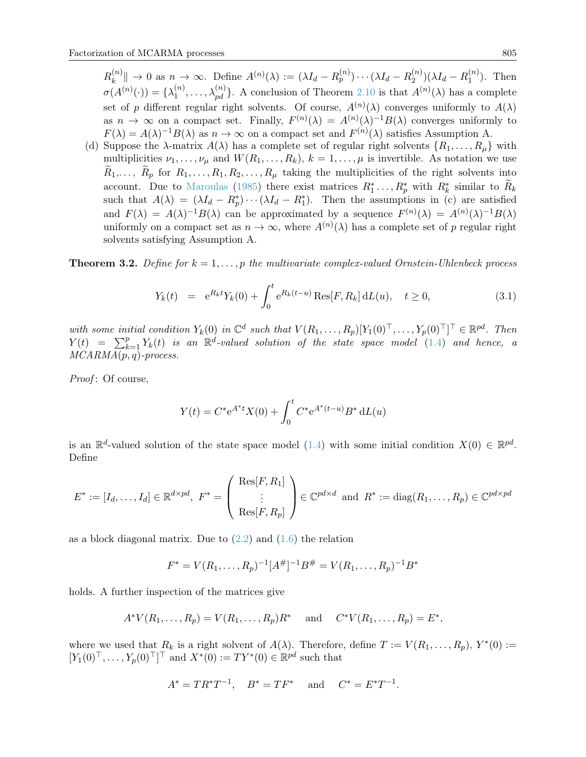$R_k^{(n)}$  $\|\mathcal{A}_k^{(n)}\| \to 0$  as  $n \to \infty$ . Define  $A^{(n)}(\lambda) := (\lambda I_d - R_p^{(n)}) \cdots (\lambda I_d - R_2^{(n)})$  $\binom{n}{2}(\lambda I_d - R_1^{(n)})$  $\binom{n}{1}$ . Then  $\sigma(A^{(n)}(\cdot))=\{\lambda_1^{(n)}\}$  $\Lambda_1^{(n)}, \ldots, \lambda_{pd}^{(n)}\}$ . A conclusion of Theorem [2.10](#page-5-2) is that  $A^{(n)}(\lambda)$  has a complete set of p different regular right solvents. Of course,  $A^{(n)}(\lambda)$  converges uniformly to  $A(\lambda)$ as  $n \to \infty$  on a compact set. Finally,  $F^{(n)}(\lambda) = A^{(n)}(\lambda)^{-1}B(\lambda)$  converges uniformly to  $F(\lambda) = A(\lambda)^{-1}B(\lambda)$  as  $n \to \infty$  on a compact set and  $F^{(n)}(\lambda)$  satisfies Assumption A.

(d) Suppose the  $\lambda$ -matrix  $A(\lambda)$  has a complete set of regular right solvents  $\{R_1, \ldots, R_\mu\}$  with multiplicities  $\nu_1, \ldots, \nu_\mu$  and  $W(R_1, \ldots, R_k)$ ,  $k = 1, \ldots, \mu$  is invertible. As notation we use  $R_1,\ldots, R_p$  for  $R_1,\ldots, R_1, R_2,\ldots, R_\mu$  taking the multiplicities of the right solvents into account. Due to [Maroulas](#page-12-14) [\(1985\)](#page-12-14) there exist matrices  $R_1^*, \ldots, R_p^*$  with  $R_k^*$  similar to  $\widetilde{R}_k$ such that  $A(\lambda) = (\lambda I_d - R_p^*) \cdots (\lambda I_d - R_1^*)$ . Then the assumptions in (c) are satisfied and  $F(\lambda) = A(\lambda)^{-1}B(\lambda)$  can be approximated by a sequence  $F^{(n)}(\lambda) = A^{(n)}(\lambda)^{-1}B(\lambda)$ uniformly on a compact set as  $n \to \infty$ , where  $A^{(n)}(\lambda)$  has a complete set of p regular right solvents satisfying Assumption A.

<span id="page-6-0"></span>**Theorem 3.2.** Define for  $k = 1, \ldots, p$  the multivariate complex-valued Ornstein-Uhlenbeck process

<span id="page-6-1"></span>
$$
Y_k(t) = e^{R_k t} Y_k(0) + \int_0^t e^{R_k(t-u)} \text{Res}[F, R_k] dL(u), \quad t \ge 0,
$$
\n(3.1)

with some initial condition  $Y_k(0)$  in  $\mathbb{C}^d$  such that  $V(R_1,\ldots,R_p)[Y_1(0)^{\top},\ldots,Y_p(0)^{\top}]^{\top} \in \mathbb{R}^{pd}$ . Then  $Y(t) = \sum_{k=1}^{p} Y_k(t)$  is an  $\mathbb{R}^d$ -valued solution of the state space model [\(1.4\)](#page-1-0) and hence, a  $MCARMA(p, q)$ -process.

Proof: Of course,

$$
Y(t) = C^* e^{A^*t} X(0) + \int_0^t C^* e^{A^*(t-u)} B^* dL(u)
$$

is an  $\mathbb{R}^d$ -valued solution of the state space model [\(1.4\)](#page-1-0) with some initial condition  $X(0) \in \mathbb{R}^{pd}$ . Define

$$
E^* := [I_d, \dots, I_d] \in \mathbb{R}^{d \times pd}, \ F^* = \left( \begin{array}{c} \text{Res}[F, R_1] \\ \vdots \\ \text{Res}[F, R_p] \end{array} \right) \in \mathbb{C}^{pd \times d} \text{ and } R^* := \text{diag}(R_1, \dots, R_p) \in \mathbb{C}^{pd \times pd}
$$

as a block diagonal matrix. Due to  $(2.2)$  and  $(1.6)$  the relation

$$
F^* = V(R_1, \ldots, R_p)^{-1} [A^\#]^{-1} B^\# = V(R_1, \ldots, R_p)^{-1} B^*
$$

holds. A further inspection of the matrices give

$$
A^*V(R_1,..., R_p) = V(R_1,..., R_p)R^*
$$
 and  $C^*V(R_1,..., R_p) = E^*$ ,

where we used that  $R_k$  is a right solvent of  $A(\lambda)$ . Therefore, define  $T := V(R_1, \ldots, R_p)$ ,  $Y^*(0) :=$  $[Y_1(0)^\top, \ldots, Y_p(0)^\top]^\top$  and  $X^*(0) := TY^*(0) \in \mathbb{R}^{pd}$  such that

$$
A^* = TR^*T^{-1}
$$
,  $B^* = TF^*$  and  $C^* = E^*T^{-1}$ .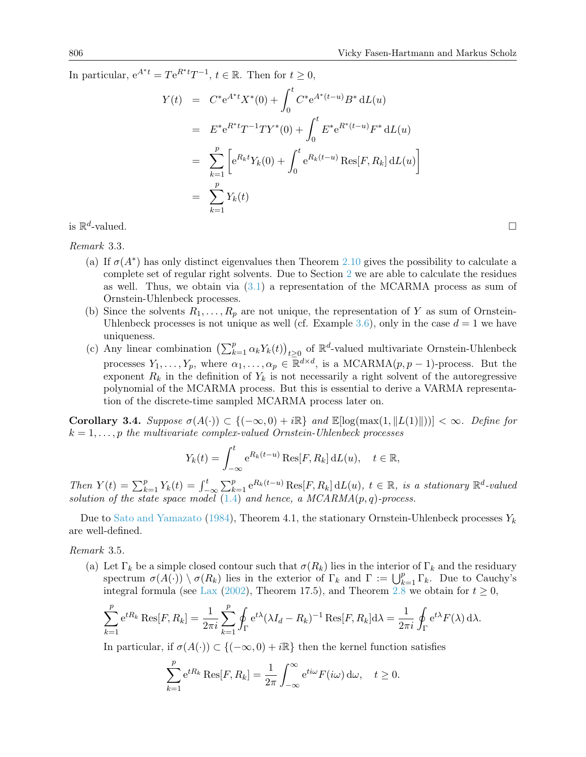In particular,  $e^{A^*t} = Te^{R^*t}T^{-1}$ ,  $t \in \mathbb{R}$ . Then for  $t \ge 0$ ,

$$
Y(t) = C^* e^{A^*t} X^*(0) + \int_0^t C^* e^{A^*(t-u)} B^* dL(u)
$$
  
\n
$$
= E^* e^{R^*t} T^{-1} T Y^*(0) + \int_0^t E^* e^{R^*(t-u)} F^* dL(u)
$$
  
\n
$$
= \sum_{k=1}^p \left[ e^{R_k t} Y_k(0) + \int_0^t e^{R_k(t-u)} \text{Res}[F, R_k] dL(u) \right]
$$
  
\n
$$
= \sum_{k=1}^p Y_k(t)
$$

is  $\mathbb{R}^d$  $\Box$ 

Remark 3.3.

- (a) If  $\sigma(A^*)$  has only distinct eigenvalues then Theorem [2.10](#page-5-2) gives the possibility to calculate a complete set of regular right solvents. Due to Section [2](#page-5-1) we are able to calculate the residues as well. Thus, we obtain via  $(3.1)$  a representation of the MCARMA process as sum of Ornstein-Uhlenbeck processes.
- (b) Since the solvents  $R_1, \ldots, R_p$  are not unique, the representation of Y as sum of Ornstein-Uhlenbeck processes is not unique as well (cf. Example [3.6\)](#page-8-1), only in the case  $d = 1$  we have uniqueness.
- (c) Any linear combination  $\left(\sum_{k=1}^p \alpha_k Y_k(t)\right)_{t\geq 0}$  of  $\mathbb{R}^d$ -valued multivariate Ornstein-Uhlenbeck processes  $Y_1, \ldots, Y_p$ , where  $\alpha_1, \ldots, \alpha_p \in \mathbb{R}^{d \times d}$ , is a MCARMA $(p, p - 1)$ -process. But the exponent  $R_k$  in the definition of  $Y_k$  is not necessarily a right solvent of the autoregressive polynomial of the MCARMA process. But this is essential to derive a VARMA representation of the discrete-time sampled MCARMA process later on.

<span id="page-7-0"></span>Corollary 3.4. Suppose  $\sigma(A(\cdot)) \subset \{(-\infty,0) + i\mathbb{R}\}\$ and  $\mathbb{E}[\log(\max(1,\|L(1)\|))] < \infty$ . Define for  $k = 1, \ldots, p$  the multivariate complex-valued Ornstein-Uhlenbeck processes

$$
Y_k(t) = \int_{-\infty}^t e^{R_k(t-u)} \operatorname{Res}[F, R_k] dL(u), \quad t \in \mathbb{R},
$$

Then  $Y(t) = \sum_{k=1}^{p} Y_k(t) = \int_{-\infty}^{t} \sum_{k=1}^{p} e^{R_k(t-u)} \text{Res}[F, R_k] dL(u), t \in \mathbb{R}$ , is a stationary  $\mathbb{R}^d$ -valued solution of the state space model  $(1.4)$  and hence, a MCARMA $(p, q)$ -process.

Due to [Sato and Yamazato](#page-12-18) [\(1984\)](#page-12-18), Theorem 4.1, the stationary Ornstein-Uhlenbeck processes  $Y_k$ are well-defined.

Remark 3.5.

(a) Let  $\Gamma_k$  be a simple closed contour such that  $\sigma(R_k)$  lies in the interior of  $\Gamma_k$  and the residuary spectrum  $\sigma(A(\cdot)) \setminus \sigma(R_k)$  lies in the exterior of  $\Gamma_k$  and  $\Gamma := \bigcup_{k=1}^p \Gamma_k$ . Due to Cauchy's integral formula (see [Lax](#page-12-19) [\(2002\)](#page-12-19), Theorem 17.5), and Theorem [2.8](#page-4-1) we obtain for  $t \ge 0$ ,

$$
\sum_{k=1}^p e^{tR_k} \operatorname{Res}[F, R_k] = \frac{1}{2\pi i} \sum_{k=1}^p \oint_{\Gamma} e^{t\lambda} (\lambda I_d - R_k)^{-1} \operatorname{Res}[F, R_k] d\lambda = \frac{1}{2\pi i} \oint_{\Gamma} e^{t\lambda} F(\lambda) d\lambda.
$$

In particular, if  $\sigma(A(\cdot)) \subset \{(-\infty, 0) + i\mathbb{R}\}\$  then the kernel function satisfies

$$
\sum_{k=1}^{p} e^{tR_k} \operatorname{Res}[F, R_k] = \frac{1}{2\pi} \int_{-\infty}^{\infty} e^{ti\omega} F(i\omega) d\omega, \quad t \ge 0.
$$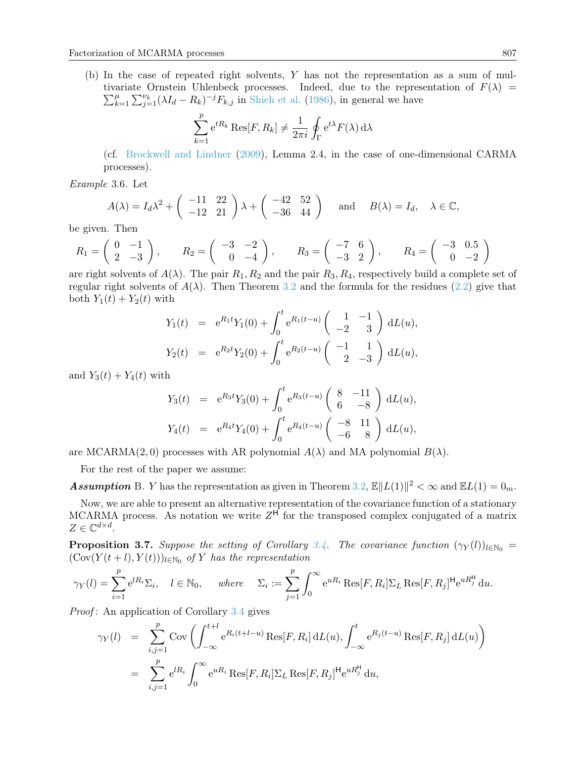(b) In the case of repeated right solvents, Y has not the representation as a sum of mul- $\sum_{k}^{\mu}$ tivariate Ornstein Uhlenbeck processes. Indeed, due to the representation of  $F(\lambda)$  =  $_{k=1}^{\mu} \sum_{j=1}^{\nu_k} (\lambda I_d - R_k)^{-j} F_{k,j}$  in [Shieh et al.](#page-13-2) [\(1986\)](#page-13-2), in general we have

$$
\sum_{k=1}^{p} e^{tR_k} \text{Res}[F, R_k] \neq \frac{1}{2\pi i} \oint_{\Gamma} e^{t\lambda} F(\lambda) d\lambda
$$

(cf. [Brockwell and Lindner](#page-12-10) [\(2009\)](#page-12-10), Lemma 2.4, in the case of one-dimensional CARMA processes).

<span id="page-8-1"></span>Example 3.6. Let

$$
A(\lambda) = I_d \lambda^2 + \begin{pmatrix} -11 & 22 \\ -12 & 21 \end{pmatrix} \lambda + \begin{pmatrix} -42 & 52 \\ -36 & 44 \end{pmatrix} \text{ and } B(\lambda) = I_d, \quad \lambda \in \mathbb{C},
$$

be given. Then

$$
R_1 = \begin{pmatrix} 0 & -1 \\ 2 & -3 \end{pmatrix}, \qquad R_2 = \begin{pmatrix} -3 & -2 \\ 0 & -4 \end{pmatrix}, \qquad R_3 = \begin{pmatrix} -7 & 6 \\ -3 & 2 \end{pmatrix}, \qquad R_4 = \begin{pmatrix} -3 & 0.5 \\ 0 & -2 \end{pmatrix}
$$

are right solvents of  $A(\lambda)$ . The pair  $R_1, R_2$  and the pair  $R_3, R_4$ , respectively build a complete set of regular right solvents of  $A(\lambda)$ . Then Theorem [3.2](#page-6-0) and the formula for the residues [\(2.2\)](#page-5-1) give that both  $Y_1(t) + Y_2(t)$  with

$$
Y_1(t) = e^{R_1t}Y_1(0) + \int_0^t e^{R_1(t-u)} \begin{pmatrix} 1 & -1 \ -2 & 3 \end{pmatrix} dL(u),
$$
  
\n
$$
Y_2(t) = e^{R_2t}Y_2(0) + \int_0^t e^{R_2(t-u)} \begin{pmatrix} -1 & 1 \ 2 & -3 \end{pmatrix} dL(u),
$$

and  $Y_3(t) + Y_4(t)$  with

$$
Y_3(t) = e^{R_3t} Y_3(0) + \int_0^t e^{R_3(t-u)} \begin{pmatrix} 8 & -11 \ 6 & -8 \end{pmatrix} dL(u),
$$
  
\n
$$
Y_4(t) = e^{R_4t} Y_4(0) + \int_0^t e^{R_4(t-u)} \begin{pmatrix} -8 & 11 \ -6 & 8 \end{pmatrix} dL(u),
$$

are MCARMA(2,0) processes with AR polynomial  $A(\lambda)$  and MA polynomial  $B(\lambda)$ .

For the rest of the paper we assume:

**Assumption** B. Y has the representation as given in Theorem [3.2,](#page-6-0)  $\mathbb{E} ||L(1)||^2 < \infty$  and  $\mathbb{E}L(1) = 0_m$ .

Now, we are able to present an alternative representation of the covariance function of a stationary MCARMA process. As notation we write  $Z<sup>H</sup>$  for the transposed complex conjugated of a matrix  $Z \in \mathbb{C}^{d \times d}$ .

<span id="page-8-0"></span>**Proposition 3.7.** Suppose the setting of Corollary [3.4.](#page-7-0) The covariance function  $(\gamma_Y(l))_{l \in \mathbb{N}_0}$  =  $(\text{Cov}(Y(t+l), Y(t)))_{l \in \mathbb{N}_0}$  of Y has the representation

$$
\gamma_Y(l) = \sum_{i=1}^p e^{lR_i} \Sigma_i, \quad l \in \mathbb{N}_0, \quad \text{where} \quad \Sigma_i := \sum_{j=1}^p \int_0^\infty e^{uR_i} \operatorname{Res}[F, R_i] \Sigma_L \operatorname{Res}[F, R_j]^\mathsf{H} e^{uR_j^\mathsf{H}} du.
$$

Proof: An application of Corollary [3.4](#page-7-0) gives

$$
\gamma_Y(l) = \sum_{i,j=1}^p \text{Cov}\left(\int_{-\infty}^{t+l} e^{R_i(t+l-u)} \text{Res}[F, R_i] dL(u), \int_{-\infty}^t e^{R_j(t-u)} \text{Res}[F, R_j] dL(u)\right)
$$
  
= 
$$
\sum_{i,j=1}^p e^{lR_i} \int_0^{\infty} e^{uR_i} \text{Res}[F, R_i] \Sigma_L \text{Res}[F, R_j]^{H} e^{uR_j^H} du,
$$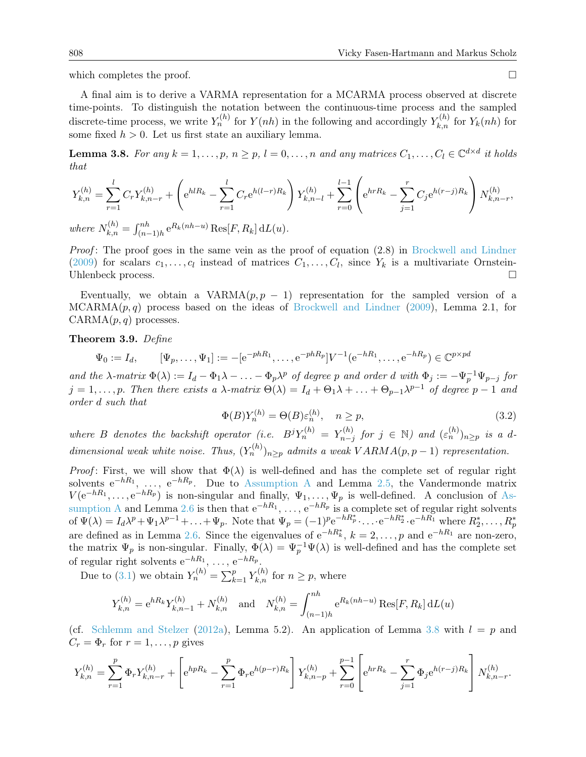which completes the proof.  $\Box$ 

A final aim is to derive a VARMA representation for a MCARMA process observed at discrete time-points. To distinguish the notation between the continuous-time process and the sampled discrete-time process, we write  $Y_n^{(h)}$  for  $Y(nh)$  in the following and accordingly  $Y_{k,n}^{(h)}$  for  $Y_k(nh)$  for some fixed  $h > 0$ . Let us first state an auxiliary lemma.

<span id="page-9-1"></span>**Lemma 3.8.** For any  $k = 1, ..., p, n \ge p, l = 0, ..., n$  and any matrices  $C_1, ..., C_l \in \mathbb{C}^{d \times d}$  it holds that

$$
Y_{k,n}^{(h)} = \sum_{r=1}^{l} C_r Y_{k,n-r}^{(h)} + \left( e^{h l R_k} - \sum_{r=1}^{l} C_r e^{h(l-r)R_k} \right) Y_{k,n-l}^{(h)} + \sum_{r=0}^{l-1} \left( e^{h r R_k} - \sum_{j=1}^{r} C_j e^{h(r-j)R_k} \right) N_{k,n-r}^{(h)},
$$
  
where  $N_{k,n}^{(h)} = \int_{(n-1)h}^{nh} e^{R_k(nh-u)} \text{Res}[F, R_k] dL(u).$ 

Proof: The proof goes in the same vein as the proof of equation (2.8) in [Brockwell and Lindner](#page-12-10) [\(2009\)](#page-12-10) for scalars  $c_1, \ldots, c_l$  instead of matrices  $C_1, \ldots, C_l$ , since  $Y_k$  is a multivariate Ornstein-Uhlenbeck process.

Eventually, we obtain a VARMA $(p, p - 1)$  representation for the sampled version of a  $MCARMA(p, q)$  process based on the ideas of [Brockwell and Lindner](#page-12-10) [\(2009\)](#page-12-10), Lemma 2.1, for  $CARMA(p,q)$  processes.

<span id="page-9-0"></span>Theorem 3.9. Define

$$
\Psi_0 := I_d, \qquad [\Psi_p, \dots, \Psi_1] := -[e^{-phR_1}, \dots, e^{-phR_p}]V^{-1}(e^{-hR_1}, \dots, e^{-hR_p}) \in \mathbb{C}^{p \times pd}
$$

and the  $\lambda$ -matrix  $\Phi(\lambda) := I_d - \Phi_1 \lambda - \ldots - \Phi_p \lambda^p$  of degree p and order d with  $\Phi_j := -\Psi_p^{-1} \Psi_{p-j}$  for  $j = 1, \ldots, p$ . Then there exists a  $\lambda$ -matrix  $\Theta(\lambda) = I_d + \Theta_1 \lambda + \ldots + \Theta_{p-1} \lambda^{p-1}$  of degree  $p-1$  and order d such that

<span id="page-9-2"></span>
$$
\Phi(B)Y_n^{(h)} = \Theta(B)\varepsilon_n^{(h)}, \quad n \ge p,\tag{3.2}
$$

where B denotes the backshift operator (i.e.  $B^{j}Y_{n}^{(h)} = Y_{n-j}^{(h)}$  $\tau^{(h)}_{n-j}$  for  $j \in \mathbb{N}$ ) and  $(\varepsilon^{(h)}_n)_{n \geq p}$  is a ddimensional weak white noise. Thus,  $(Y_n^{(h)})_{n\geq p}$  admits a weak  $VARMA(p, p - 1)$  representation.

*Proof*: First, we will show that  $\Phi(\lambda)$  is well-defined and has the complete set of regular right solvents  $e^{-hR_1}, \ldots, e^{-hR_p}$ . Due to [Assumption A](#page-5-3) and Lemma [2.5,](#page-3-1) the Vandermonde matrix  $V(e^{-hR_1}, \ldots, e^{-hR_p})$  is non-singular and finally,  $\Psi_1, \ldots, \Psi_p$  is well-defined. A conclusion of [As](#page-5-3)[sumption A](#page-5-3) and Lemma [2.6](#page-4-2) is then that  $e^{-hR_1}, \ldots, e^{-hR_p}$  is a complete set of regular right solvents of  $\Psi(\lambda) = I_d \lambda^p + \Psi_1 \lambda^{p-1} + \ldots + \Psi_p$ . Note that  $\Psi_p = (-1)^p e^{-hR_p^*} \cdots e^{-hR_2^*} \cdot e^{-hR_1^*}$  where  $R_2^*, \ldots, R_p^*$ are defined as in Lemma [2.6.](#page-4-2) Since the eigenvalues of  $e^{-hR_k^*}$ ,  $k = 2, \ldots, p$  and  $e^{-hR_1}$  are non-zero, the matrix  $\Psi_p$  is non-singular. Finally,  $\Phi(\lambda) = \Psi_p^{-1} \Psi(\lambda)$  is well-defined and has the complete set of regular right solvents  $e^{-hR_1}, \ldots, e^{-hR_p}$ .

Due to [\(3.1\)](#page-6-1) we obtain  $Y_n^{(h)} = \sum_{k=1}^p Y_{k,n}^{(h)}$  for  $n \ge p$ , where

$$
Y_{k,n}^{(h)} = e^{hR_k} Y_{k,n-1}^{(h)} + N_{k,n}^{(h)} \text{ and } N_{k,n}^{(h)} = \int_{(n-1)h}^{nh} e^{R_k(nh-u)} \operatorname{Res}[F, R_k] dL(u)
$$

(cf. [Schlemm and Stelzer](#page-12-5) [\(2012a\)](#page-12-5), Lemma 5.2). An application of Lemma [3.8](#page-9-1) with  $l = p$  and  $C_r = \Phi_r$  for  $r = 1, \ldots, p$  gives

$$
Y_{k,n}^{(h)} = \sum_{r=1}^{p} \Phi_r Y_{k,n-r}^{(h)} + \left[ e^{hpR_k} - \sum_{r=1}^{p} \Phi_r e^{h(p-r)R_k} \right] Y_{k,n-p}^{(h)} + \sum_{r=0}^{p-1} \left[ e^{hrR_k} - \sum_{j=1}^{r} \Phi_j e^{h(r-j)R_k} \right] N_{k,n-r}^{(h)}.
$$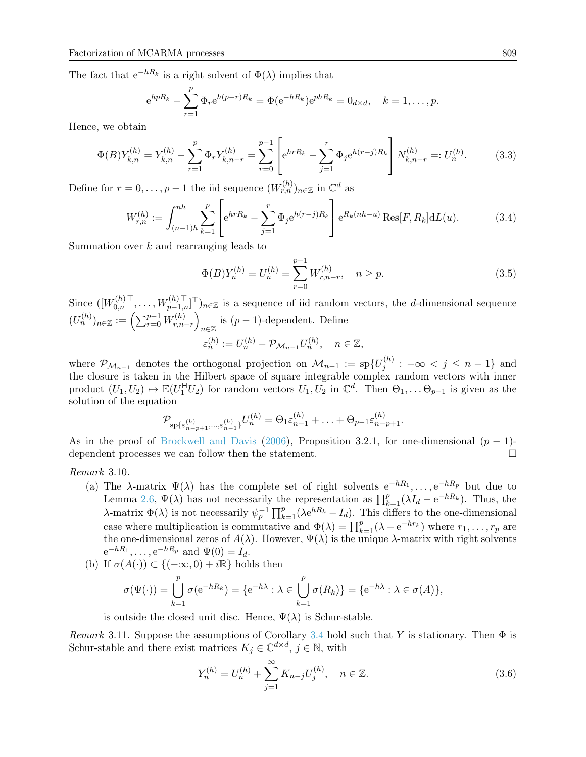The fact that  $e^{-hR_k}$  is a right solvent of  $\Phi(\lambda)$  implies that

$$
e^{hpR_k} - \sum_{r=1}^{p} \Phi_r e^{h(p-r)R_k} = \Phi(e^{-hR_k}) e^{phR_k} = 0_{d \times d}, \quad k = 1, ..., p.
$$

Hence, we obtain

<span id="page-10-2"></span>
$$
\Phi(B)Y_{k,n}^{(h)} = Y_{k,n}^{(h)} - \sum_{r=1}^p \Phi_r Y_{k,n-r}^{(h)} = \sum_{r=0}^{p-1} \left[ e^{hrR_k} - \sum_{j=1}^r \Phi_j e^{h(r-j)R_k} \right] N_{k,n-r}^{(h)} =: U_n^{(h)}.
$$
 (3.3)

Define for  $r = 0, \ldots, p - 1$  the iid sequence  $(W_{r,n}^{(h)})_{n \in \mathbb{Z}}$  in  $\mathbb{C}^d$  as

<span id="page-10-3"></span>
$$
W_{r,n}^{(h)} := \int_{(n-1)h}^{nh} \sum_{k=1}^{p} \left[ e^{hrR_k} - \sum_{j=1}^{r} \Phi_j e^{h(r-j)R_k} \right] e^{R_k(nh-u)} \operatorname{Res}[F, R_k] dL(u).
$$
 (3.4)

Summation over  $k$  and rearranging leads to

<span id="page-10-0"></span>
$$
\Phi(B)Y_n^{(h)} = U_n^{(h)} = \sum_{r=0}^{p-1} W_{r,n-r}^{(h)}, \quad n \ge p.
$$
\n(3.5)

Since  $([W_{0,n}^{(h)}]^\top, \ldots, W_{p-1,n}^{(h)}]^\top)_{n \in \mathbb{Z}}$  is a sequence of iid random vectors, the *d*-dimensional sequence  $(U_n^{(h)})_{n \in \mathbb{Z}} := \left( \sum_{r=0}^{p-1} W_{r,n}^{(h)} \right)$  $\binom{n}{r,n-r}$  $_{n\in\mathbb{Z}}$  is  $(p-1)$ -dependent. Define  $\varepsilon_n^{(h)} := U_n^{(h)} - \mathcal{P}_{\mathcal{M}_{n-1}} U_n^{(h)}, \quad n \in \mathbb{Z},$ 

where  $\mathcal{P}_{\mathcal{M}_{n-1}}$  denotes the orthogonal projection on  $\mathcal{M}_{n-1} := \overline{\textrm{sp}}\{U^{(h)}_j\}$  $j^{(n)}$  :  $-\infty < j \leq n-1$ } and the closure is taken in the Hilbert space of square integrable complex random vectors with inner product  $(U_1, U_2) \mapsto \mathbb{E}(U_1^{\mathsf{H}}U_2)$  for random vectors  $U_1, U_2$  in  $\mathbb{C}^d$ . Then  $\Theta_1, \ldots \Theta_{p-1}$  is given as the solution of the equation

$$
\mathcal{P}_{\overline{\text{sp}}\{\varepsilon_{n-p+1}^{(h)},\ldots,\varepsilon_{n-1}^{(h)}\}}U_n^{(h)} = \Theta_1\varepsilon_{n-1}^{(h)} + \ldots + \Theta_{p-1}\varepsilon_{n-p+1}^{(h)}.
$$

As in the proof of [Brockwell and Davis](#page-12-20) [\(2006\)](#page-12-20), Proposition 3.2.1, for one-dimensional  $(p-1)$ dependent processes we can follow then the statement.

## Remark 3.10.

- (a) The  $\lambda$ -matrix  $\Psi(\lambda)$  has the complete set of right solvents  $e^{-hR_1}, \ldots, e^{-hR_p}$  but due to Lemma [2.6,](#page-4-2)  $\Psi(\lambda)$  has not necessarily the representation as  $\prod_{k=1}^{p}(\lambda I_d - e^{-hR_k})$ . Thus, the λ-matrix  $\Phi(\lambda)$  is not necessarily  $\psi_p^{-1} \prod_{k=1}^p (\lambda e^{hR_k} - I_d)$ . This differs to the one-dimensional case where multiplication is commutative and  $\Phi(\lambda) = \prod_{k=1}^{p} (\lambda - e^{-hr_k})$  where  $r_1, \ldots, r_p$  are the one-dimensional zeros of  $A(\lambda)$ . However,  $\Psi(\lambda)$  is the unique  $\lambda$ -matrix with right solvents  $e^{-hR_1}, \ldots, e^{-hR_p}$  and  $\Psi(0) = I_d$ .
- (b) If  $\sigma(A(\cdot)) \subset \{(-\infty, 0) + i\mathbb{R}\}\)$  holds then

$$
\sigma(\Psi(\cdot)) = \bigcup_{k=1}^p \sigma(e^{-hR_k}) = \{e^{-h\lambda} : \lambda \in \bigcup_{k=1}^p \sigma(R_k)\} = \{e^{-h\lambda} : \lambda \in \sigma(A)\},
$$

is outside the closed unit disc. Hence,  $\Psi(\lambda)$  is Schur-stable.

Remark 3.11. Suppose the assumptions of Corollary [3.4](#page-7-0) hold such that Y is stationary. Then  $\Phi$  is Schur-stable and there exist matrices  $K_j \in \mathbb{C}^{d \times d}$ ,  $j \in \mathbb{N}$ , with

<span id="page-10-1"></span>
$$
Y_n^{(h)} = U_n^{(h)} + \sum_{j=1}^{\infty} K_{n-j} U_j^{(h)}, \quad n \in \mathbb{Z}.
$$
 (3.6)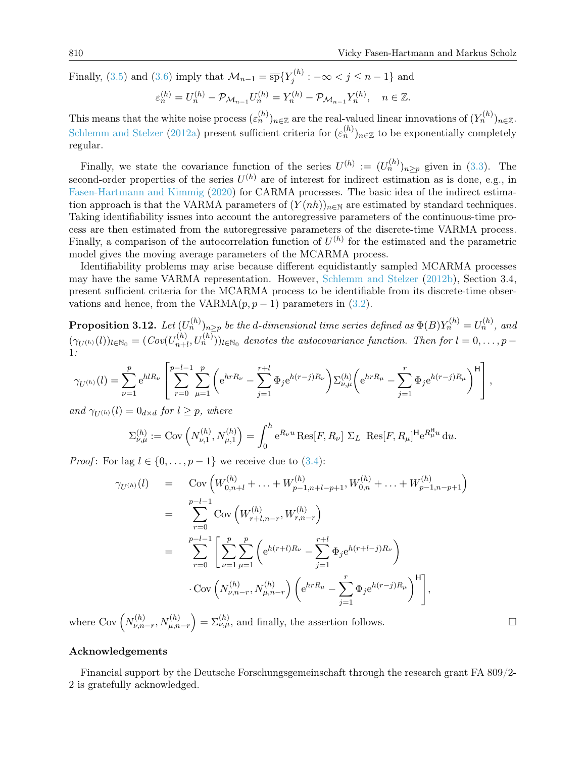Finally, [\(3.5\)](#page-10-0) and [\(3.6\)](#page-10-1) imply that  $\mathcal{M}_{n-1} = \overline{\text{sp}}\{Y_j^{(h)}\}$  $j^{(n)}$  :  $-\infty < j \leq n-1$ } and

$$
\varepsilon_n^{(h)} = U_n^{(h)} - \mathcal{P}_{\mathcal{M}_{n-1}} U_n^{(h)} = Y_n^{(h)} - \mathcal{P}_{\mathcal{M}_{n-1}} Y_n^{(h)}, \quad n \in \mathbb{Z}.
$$

This means that the white noise process  $(\varepsilon_n^{(h)})_{n \in \mathbb{Z}}$  are the real-valued linear innovations of  $(Y_n^{(h)})_{n \in \mathbb{Z}}$ . [Schlemm and Stelzer](#page-12-5) [\(2012a\)](#page-12-5) present sufficient criteria for  $(\varepsilon_n^{(h)})_{n\in\mathbb{Z}}$  to be exponentially completely regular.

Finally, we state the covariance function of the series  $U^{(h)} := (U_n^{(h)})_{n \geq p}$  given in [\(3.3\)](#page-10-2). The second-order properties of the series  $U^{(h)}$  are of interest for indirect estimation as is done, e.g., in [Fasen-Hartmann and Kimmig](#page-12-21) [\(2020\)](#page-12-21) for CARMA processes. The basic idea of the indirect estimation approach is that the VARMA parameters of  $(Y(nh))_{n\in\mathbb{N}}$  are estimated by standard techniques. Taking identifiability issues into account the autoregressive parameters of the continuous-time process are then estimated from the autoregressive parameters of the discrete-time VARMA process. Finally, a comparison of the autocorrelation function of  $U^{(h)}$  for the estimated and the parametric model gives the moving average parameters of the MCARMA process.

Identifiability problems may arise because different equidistantly sampled MCARMA processes may have the same VARMA representation. However, [Schlemm and Stelzer](#page-13-3) [\(2012b\)](#page-13-3), Section 3.4, present sufficient criteria for the MCARMA process to be identifiable from its discrete-time observations and hence, from the VARMA $(p, p - 1)$  parameters in  $(3.2)$ .

**Proposition 3.12.** Let  $(U_n^{(h)})_{n\geq p}$  be the d-dimensional time series defined as  $\Phi(B)Y_n^{(h)}=U_n^{(h)}$ , and  $(\gamma_{U^{(h)}}(l))_{l \in \mathbb{N}_0} = (Cov(U_{n+l}^{(h)})$  $(n_1(h), U_n^{(h)}))_{l \in \mathbb{N}_0}$  denotes the autocovariance function. Then for  $l = 0, \ldots, p-1$ 1:

$$
\gamma_{U^{(h)}}(l) = \sum_{\nu=1}^p e^{hlR_{\nu}} \left[ \sum_{r=0}^{p-l-1} \sum_{\mu=1}^p \left( e^{hrR_{\nu}} - \sum_{j=1}^{r+l} \Phi_j e^{h(r-j)R_{\nu}} \right) \Sigma_{\nu,\mu}^{(h)} \left( e^{hrR_{\mu}} - \sum_{j=1}^r \Phi_j e^{h(r-j)R_{\mu}} \right)^{\mathsf{H}} \right],
$$

and  $\gamma_{U(h)}(l) = 0_{d \times d}$  for  $l \geq p$ , where

$$
\Sigma_{\nu,\mu}^{(h)} := \text{Cov}\left(N_{\nu,1}^{(h)}, N_{\mu,1}^{(h)}\right) = \int_0^h e^{R_\nu u} \text{Res}[F, R_\nu] \Sigma_L \text{ Res}[F, R_\mu]^{\mathsf{H}} e^{R_\mu^{\mathsf{H}} u} du.
$$

*Proof*: For lag  $l \in \{0, \ldots, p-1\}$  we receive due to  $(3.4)$ :

$$
\gamma_{U^{(h)}}(l) = \text{Cov}\left(W_{0,n+l}^{(h)} + \ldots + W_{p-1,n+l-p+1}^{(h)}, W_{0,n}^{(h)} + \ldots + W_{p-1,n-p+1}^{(h)}\right)
$$
  
\n
$$
= \sum_{r=0}^{p-l-1} \text{Cov}\left(W_{r+l,n-r}^{(h)}, W_{r,n-r}^{(h)}\right)
$$
  
\n
$$
= \sum_{r=0}^{p-l-1} \left[\sum_{\nu=1}^{p} \sum_{\mu=1}^{p} \left(e^{h(r+l)R_{\nu}} - \sum_{j=1}^{r+l} \Phi_j e^{h(r+l-j)R_{\nu}}\right) + \text{Cov}\left(N_{\nu,n-r}^{(h)}, N_{\mu,n-r}^{(h)}\right) \left(e^{hrR_{\mu}} - \sum_{j=1}^{r} \Phi_j e^{h(r-j)R_{\mu}}\right)^{H}\right],
$$

where Cov  $\left(N_{\nu,n}^{(h)}\right)$  $V_{\nu,n-r}^{(h)}, N_{\mu,n-r}^{(h)} \} = \Sigma_{\nu,\mu}^{(h)}$ , and finally, the assertion follows.

# Acknowledgements

Financial support by the Deutsche Forschungsgemeinschaft through the research grant FA 809/2- 2 is gratefully acknowledged.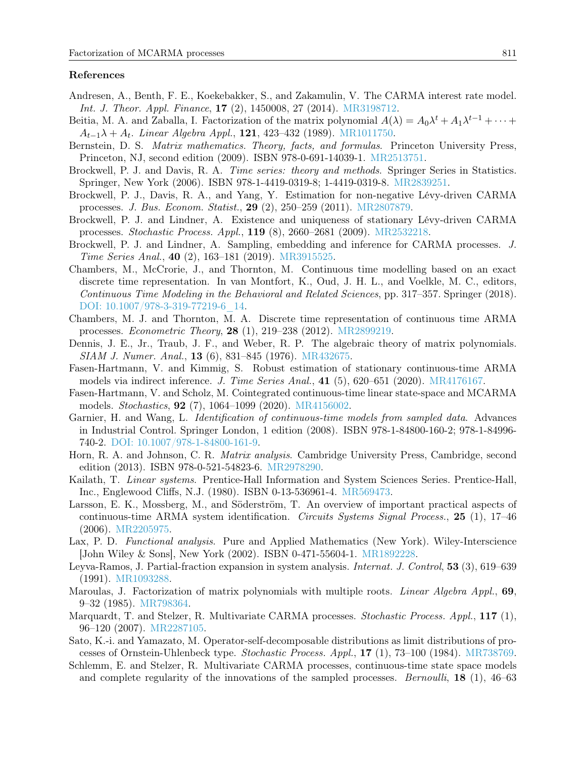#### References

- <span id="page-12-3"></span>Andresen, A., Benth, F. E., Koekebakker, S., and Zakamulin, V. The CARMA interest rate model. Int. J. Theor. Appl. Finance, 17 (2), 1450008, 27 (2014). [MR3198712.](http://www.ams.org/mathscinet-getitem?mr=MR3198712)
- <span id="page-12-15"></span>Beitia, M. A. and Zaballa, I. Factorization of the matrix polynomial  $A(\lambda) = A_0 \lambda^t + A_1 \lambda^{t-1} + \cdots$  $A_{t-1}\lambda + A_t$ . Linear Algebra Appl., 121, 423–432 (1989). [MR1011750.](http://www.ams.org/mathscinet-getitem?mr=MR1011750)
- <span id="page-12-11"></span>Bernstein, D. S. *Matrix mathematics. Theory, facts, and formulas.* Princeton University Press, Princeton, NJ, second edition (2009). ISBN 978-0-691-14039-1. [MR2513751.](http://www.ams.org/mathscinet-getitem?mr=MR2513751)
- <span id="page-12-20"></span>Brockwell, P. J. and Davis, R. A. Time series: theory and methods. Springer Series in Statistics. Springer, New York (2006). ISBN 978-1-4419-0319-8; 1-4419-0319-8. [MR2839251.](http://www.ams.org/mathscinet-getitem?mr=MR2839251)
- <span id="page-12-7"></span>Brockwell, P. J., Davis, R. A., and Yang, Y. Estimation for non-negative Lévy-driven CARMA processes. J. Bus. Econom. Statist., 29 (2), 250–259 (2011). [MR2807879.](http://www.ams.org/mathscinet-getitem?mr=MR2807879)
- <span id="page-12-10"></span>Brockwell, P. J. and Lindner, A. Existence and uniqueness of stationary Lévy-driven CARMA processes. Stochastic Process. Appl., 119 (8), 2660–2681 (2009). [MR2532218.](http://www.ams.org/mathscinet-getitem?mr=MR2532218)
- <span id="page-12-9"></span>Brockwell, P. J. and Lindner, A. Sampling, embedding and inference for CARMA processes. J. Time Series Anal., 40 (2), 163–181 (2019). [MR3915525.](http://www.ams.org/mathscinet-getitem?mr=MR3915525)
- <span id="page-12-8"></span>Chambers, M., McCrorie, J., and Thornton, M. Continuous time modelling based on an exact discrete time representation. In van Montfort, K., Oud, J. H. L., and Voelkle, M. C., editors, Continuous Time Modeling in the Behavioral and Related Sciences, pp. 317–357. Springer (2018). [DOI: 10.1007/978-3-319-77219-6\\_14.](http://dx.doi.org/10.1007/978-3-319-77219-6_14)
- <span id="page-12-0"></span>Chambers, M. J. and Thornton, M. A. Discrete time representation of continuous time ARMA processes. Econometric Theory, 28 (1), 219–238 (2012). [MR2899219.](http://www.ams.org/mathscinet-getitem?mr=MR2899219)
- <span id="page-12-17"></span>Dennis, J. E., Jr., Traub, J. F., and Weber, R. P. The algebraic theory of matrix polynomials. SIAM J. Numer. Anal., 13 (6), 831–845 (1976). [MR432675.](http://www.ams.org/mathscinet-getitem?mr=MR432675)
- <span id="page-12-21"></span>Fasen-Hartmann, V. and Kimmig, S. Robust estimation of stationary continuous-time ARMA models via indirect inference. J. Time Series Anal., 41 (5), 620–651 (2020). [MR4176167.](http://www.ams.org/mathscinet-getitem?mr=MR4176167)
- <span id="page-12-6"></span>Fasen-Hartmann, V. and Scholz, M. Cointegrated continuous-time linear state-space and MCARMA models. Stochastics, 92 (7), 1064–1099 (2020). [MR4156002.](http://www.ams.org/mathscinet-getitem?mr=MR4156002)
- <span id="page-12-1"></span>Garnier, H. and Wang, L. Identification of continuous-time models from sampled data. Advances in Industrial Control. Springer London, 1 edition (2008). ISBN 978-1-84800-160-2; 978-1-84996- 740-2. [DOI: 10.1007/978-1-84800-161-9.](http://dx.doi.org/10.1007/978-1-84800-161-9)
- <span id="page-12-12"></span>Horn, R. A. and Johnson, C. R. Matrix analysis. Cambridge University Press, Cambridge, second edition (2013). ISBN 978-0-521-54823-6. [MR2978290.](http://www.ams.org/mathscinet-getitem?mr=MR2978290)
- <span id="page-12-13"></span>Kailath, T. Linear systems. Prentice-Hall Information and System Sciences Series. Prentice-Hall, Inc., Englewood Cliffs, N.J. (1980). ISBN 0-13-536961-4. [MR569473.](http://www.ams.org/mathscinet-getitem?mr=MR569473)
- <span id="page-12-2"></span>Larsson, E. K., Mossberg, M., and Söderström, T. An overview of important practical aspects of continuous-time ARMA system identification. Circuits Systems Signal Process., 25 (1), 17–46 (2006). [MR2205975.](http://www.ams.org/mathscinet-getitem?mr=MR2205975)
- <span id="page-12-19"></span>Lax, P. D. Functional analysis. Pure and Applied Mathematics (New York). Wiley-Interscience [John Wiley & Sons], New York (2002). ISBN 0-471-55604-1. [MR1892228.](http://www.ams.org/mathscinet-getitem?mr=MR1892228)
- <span id="page-12-16"></span>Leyva-Ramos, J. Partial-fraction expansion in system analysis. Internat. J. Control, 53 (3), 619–639 (1991). [MR1093288.](http://www.ams.org/mathscinet-getitem?mr=MR1093288)
- <span id="page-12-14"></span>Maroulas, J. Factorization of matrix polynomials with multiple roots. *Linear Algebra Appl.*, 69, 9–32 (1985). [MR798364.](http://www.ams.org/mathscinet-getitem?mr=MR798364)
- <span id="page-12-4"></span>Marquardt, T. and Stelzer, R. Multivariate CARMA processes. Stochastic Process. Appl., 117 (1), 96–120 (2007). [MR2287105.](http://www.ams.org/mathscinet-getitem?mr=MR2287105)
- <span id="page-12-18"></span>Sato, K.-i. and Yamazato, M. Operator-self-decomposable distributions as limit distributions of processes of Ornstein-Uhlenbeck type. Stochastic Process. Appl., 17 (1), 73–100 (1984). [MR738769.](http://www.ams.org/mathscinet-getitem?mr=MR738769)
- <span id="page-12-5"></span>Schlemm, E. and Stelzer, R. Multivariate CARMA processes, continuous-time state space models and complete regularity of the innovations of the sampled processes. *Bernoulli*, **18** (1), 46–63